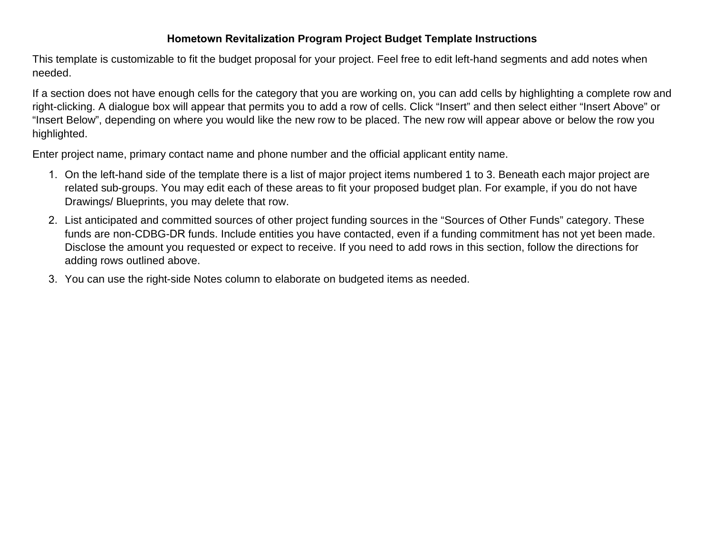## **Hometown Revitalization Program Project Budget Template Instructions**

This template is customizable to fit the budget proposal for your project. Feel free to edit left-hand segments and add notes when needed.

If a section does not have enough cells for the category that you are working on, you can add cells by highlighting a complete row and right-clicking. A dialogue box will appear that permits you to add a row of cells. Click "Insert" and then select either "Insert Above" or "Insert Below", depending on where you would like the new row to be placed. The new row will appear above or below the row you highlighted.

Enter project name, primary contact name and phone number and the official applicant entity name.

- 1. On the left-hand side of the template there is a list of major project items numbered 1 to 3. Beneath each major project are related sub-groups. You may edit each of these areas to fit your proposed budget plan. For example, if you do not have Drawings/ Blueprints, you may delete that row.
- 2. List anticipated and committed sources of other project funding sources in the "Sources of Other Funds" category. These funds are non-CDBG-DR funds. Include entities you have contacted, even if a funding commitment has not yet been made. Disclose the amount you requested or expect to receive. If you need to add rows in this section, follow the directions for adding rows outlined above.
- 3. You can use the right-side Notes column to elaborate on budgeted items as needed.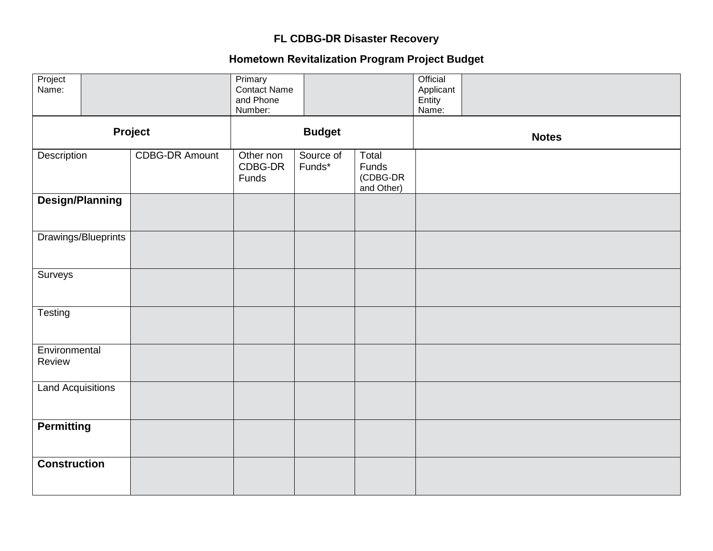## **FL CDBG-DR Disaster Recovery**

## **Hometown Revitalization Program Project Budget**

| Project<br>Name:         |                        |                       | Primary<br>Contact Name<br>and Phone<br>Number: |                     |                                          | Official<br>Applicant<br>Entity<br>Name: |  |
|--------------------------|------------------------|-----------------------|-------------------------------------------------|---------------------|------------------------------------------|------------------------------------------|--|
| Project                  |                        | <b>Budget</b>         |                                                 |                     |                                          | <b>Notes</b>                             |  |
| Description              |                        | <b>CDBG-DR Amount</b> | Other non<br>CDBG-DR<br>Funds                   | Source of<br>Funds* | Total<br>Funds<br>(CDBG-DR<br>and Other) |                                          |  |
|                          | <b>Design/Planning</b> |                       |                                                 |                     |                                          |                                          |  |
|                          | Drawings/Blueprints    |                       |                                                 |                     |                                          |                                          |  |
| Surveys                  |                        |                       |                                                 |                     |                                          |                                          |  |
| Testing                  |                        |                       |                                                 |                     |                                          |                                          |  |
| Environmental<br>Review  |                        |                       |                                                 |                     |                                          |                                          |  |
| <b>Land Acquisitions</b> |                        |                       |                                                 |                     |                                          |                                          |  |
| <b>Permitting</b>        |                        |                       |                                                 |                     |                                          |                                          |  |
| <b>Construction</b>      |                        |                       |                                                 |                     |                                          |                                          |  |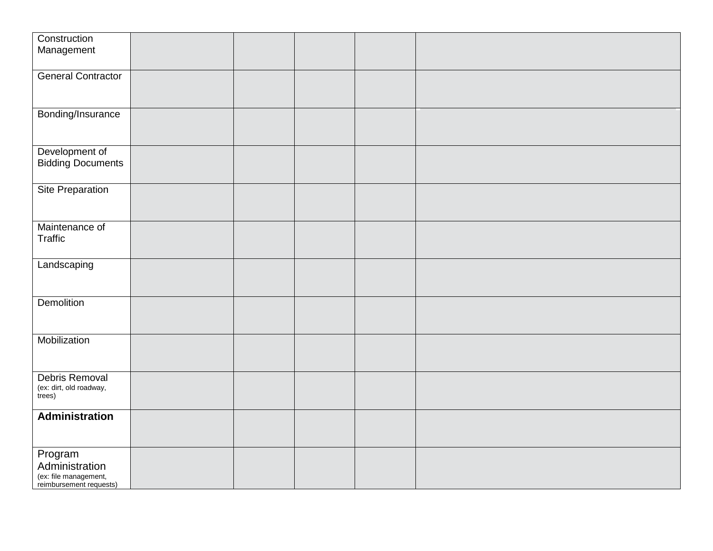| Construction                                     |  |  |  |
|--------------------------------------------------|--|--|--|
| Management                                       |  |  |  |
|                                                  |  |  |  |
| <b>General Contractor</b>                        |  |  |  |
|                                                  |  |  |  |
|                                                  |  |  |  |
| Bonding/Insurance                                |  |  |  |
|                                                  |  |  |  |
|                                                  |  |  |  |
| Development of                                   |  |  |  |
| <b>Bidding Documents</b>                         |  |  |  |
|                                                  |  |  |  |
| <b>Site Preparation</b>                          |  |  |  |
|                                                  |  |  |  |
|                                                  |  |  |  |
| Maintenance of                                   |  |  |  |
| <b>Traffic</b>                                   |  |  |  |
|                                                  |  |  |  |
| Landscaping                                      |  |  |  |
|                                                  |  |  |  |
|                                                  |  |  |  |
| <b>Demolition</b>                                |  |  |  |
|                                                  |  |  |  |
|                                                  |  |  |  |
| Mobilization                                     |  |  |  |
|                                                  |  |  |  |
|                                                  |  |  |  |
| Debris Removal                                   |  |  |  |
| (ex: dirt, old roadway,<br>trees)                |  |  |  |
|                                                  |  |  |  |
| <b>Administration</b>                            |  |  |  |
|                                                  |  |  |  |
|                                                  |  |  |  |
| Program                                          |  |  |  |
| Administration                                   |  |  |  |
| (ex: file management,<br>reimbursement requests) |  |  |  |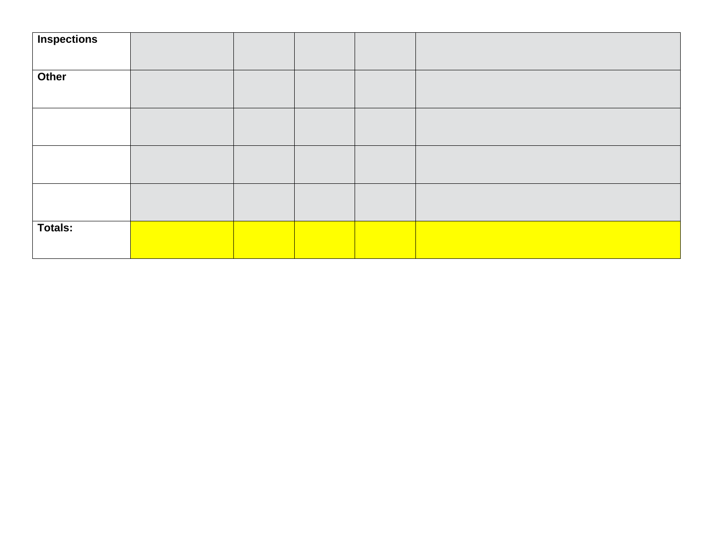| <b>Inspections</b> |  |  |  |
|--------------------|--|--|--|
|                    |  |  |  |
|                    |  |  |  |
| Other              |  |  |  |
|                    |  |  |  |
|                    |  |  |  |
|                    |  |  |  |
|                    |  |  |  |
|                    |  |  |  |
|                    |  |  |  |
|                    |  |  |  |
|                    |  |  |  |
|                    |  |  |  |
|                    |  |  |  |
|                    |  |  |  |
|                    |  |  |  |
| Totals:            |  |  |  |
|                    |  |  |  |
|                    |  |  |  |